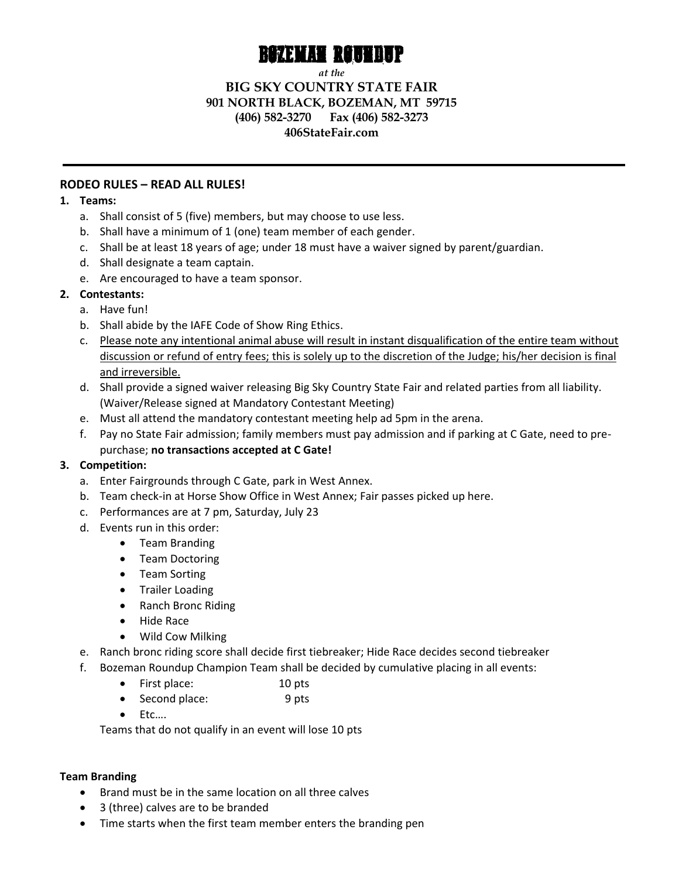

*at the*

## **BIG SKY COUNTRY STATE FAIR 901 NORTH BLACK, BOZEMAN, MT 59715 (406) 582-3270 Fax (406) 582-3273 406StateFair.com**

## **RODEO RULES – READ ALL RULES!**

### **1. Teams:**

- a. Shall consist of 5 (five) members, but may choose to use less.
- b. Shall have a minimum of 1 (one) team member of each gender.
- c. Shall be at least 18 years of age; under 18 must have a waiver signed by parent/guardian.
- d. Shall designate a team captain.
- e. Are encouraged to have a team sponsor.

# **2. Contestants:**

- a. Have fun!
- b. Shall abide by the IAFE Code of Show Ring Ethics.
- c. Please note any intentional animal abuse will result in instant disqualification of the entire team without discussion or refund of entry fees; this is solely up to the discretion of the Judge; his/her decision is final and irreversible.
- d. Shall provide a signed waiver releasing Big Sky Country State Fair and related parties from all liability. (Waiver/Release signed at Mandatory Contestant Meeting)
- e. Must all attend the mandatory contestant meeting help ad 5pm in the arena.
- f. Pay no State Fair admission; family members must pay admission and if parking at C Gate, need to prepurchase; **no transactions accepted at C Gate!**

## **3. Competition:**

- a. Enter Fairgrounds through C Gate, park in West Annex.
- b. Team check-in at Horse Show Office in West Annex; Fair passes picked up here.
- c. Performances are at 7 pm, Saturday, July 23
- d. Events run in this order:
	- Team Branding
	- Team Doctoring
	- Team Sorting
	- Trailer Loading
	- Ranch Bronc Riding
	- Hide Race
	- Wild Cow Milking
- e. Ranch bronc riding score shall decide first tiebreaker; Hide Race decides second tiebreaker
- f. Bozeman Roundup Champion Team shall be decided by cumulative placing in all events:
	- First place: 10 pts
	- Second place: 9 pts
	- Etc….

Teams that do not qualify in an event will lose 10 pts

## **Team Branding**

- Brand must be in the same location on all three calves
- 3 (three) calves are to be branded
- Time starts when the first team member enters the branding pen